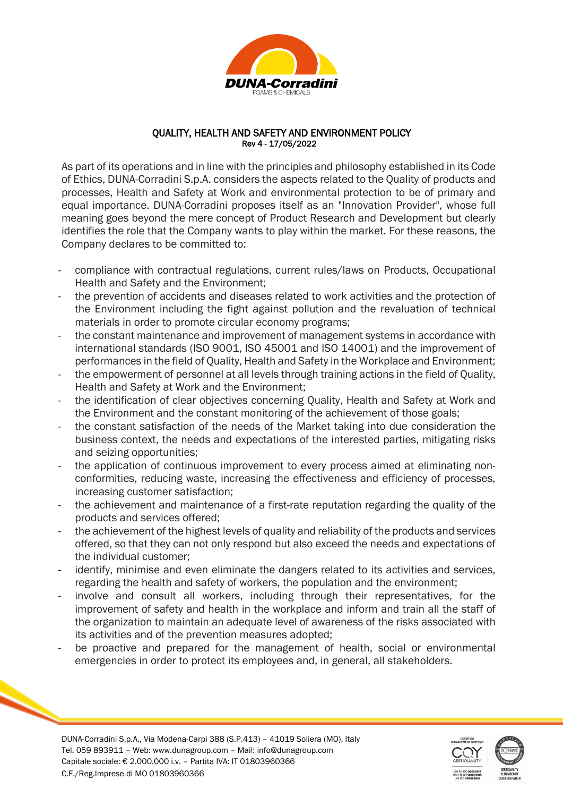

## QUALITY, HEALTH AND SAFETY AND ENVIRONMENT POLICY Rev 4 - 17/05/2022

As part of its operations and in line with the principles and philosophy established in its Code of Ethics, DUNA-Corradini S.p.A. considers the aspects related to the Quality of products and processes, Health and Safety at Work and environmental protection to be of primary and equal importance. DUNA-Corradini proposes itself as an "Innovation Provider", whose full meaning goes beyond the mere concept of Product Research and Development but clearly identifies the role that the Company wants to play within the market. For these reasons, the Company declares to be committed to:

- compliance with contractual regulations, current rules/laws on Products, Occupational Health and Safety and the Environment;
- the prevention of accidents and diseases related to work activities and the protection of the Environment including the fight against pollution and the revaluation of technical materials in order to promote circular economy programs;
- the constant maintenance and improvement of management systems in accordance with international standards (ISO 9001, ISO 45001 and ISO 14001) and the improvement of performances in the field of Quality, Health and Safety in the Workplace and Environment;
- the empowerment of personnel at all levels through training actions in the field of Quality, Health and Safety at Work and the Environment;
- the identification of clear objectives concerning Quality, Health and Safety at Work and the Environment and the constant monitoring of the achievement of those goals;
- the constant satisfaction of the needs of the Market taking into due consideration the business context, the needs and expectations of the interested parties, mitigating risks and seizing opportunities;
- the application of continuous improvement to every process aimed at eliminating nonconformities, reducing waste, increasing the effectiveness and efficiency of processes, increasing customer satisfaction;
- the achievement and maintenance of a first-rate reputation regarding the quality of the products and services offered;
- the achievement of the highest levels of quality and reliability of the products and services offered, so that they can not only respond but also exceed the needs and expectations of the individual customer;
- identify, minimise and even eliminate the dangers related to its activities and services, regarding the health and safety of workers, the population and the environment;
- involve and consult all workers, including through their representatives, for the improvement of safety and health in the workplace and inform and train all the staff of the organization to maintain an adequate level of awareness of the risks associated with its activities and of the prevention measures adopted;
- be proactive and prepared for the management of health, social or environmental emergencies in order to protect its employees and, in general, all stakeholders.